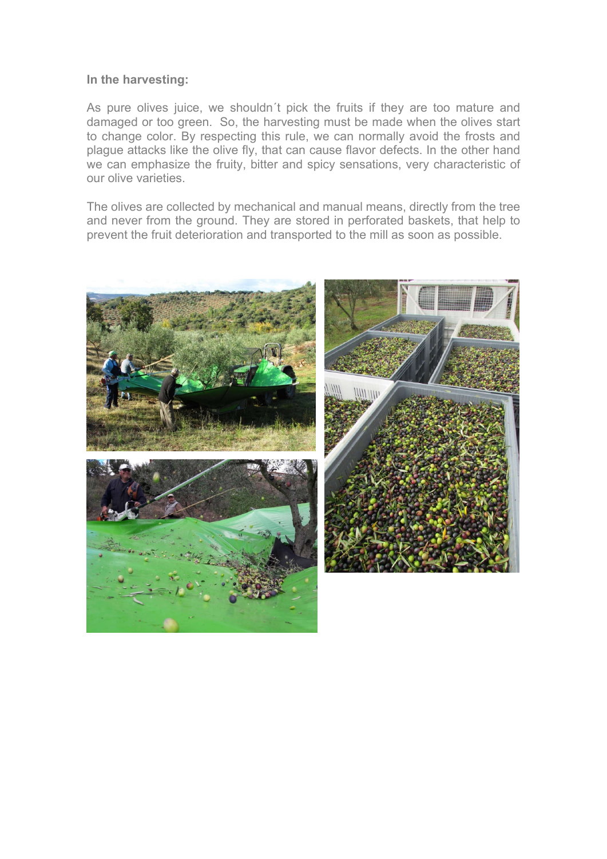## In the harvesting:

As pure olives juice, we shouldn´t pick the fruits if they are too mature and damaged or too green. So, the harvesting must be made when the olives start to change color. By respecting this rule, we can normally avoid the frosts and plague attacks like the olive fly, that can cause flavor defects. In the other hand we can emphasize the fruity, bitter and spicy sensations, very characteristic of our olive varieties.

The olives are collected by mechanical and manual means, directly from the tree and never from the ground. They are stored in perforated baskets, that help to prevent the fruit deterioration and transported to the mill as soon as possible.

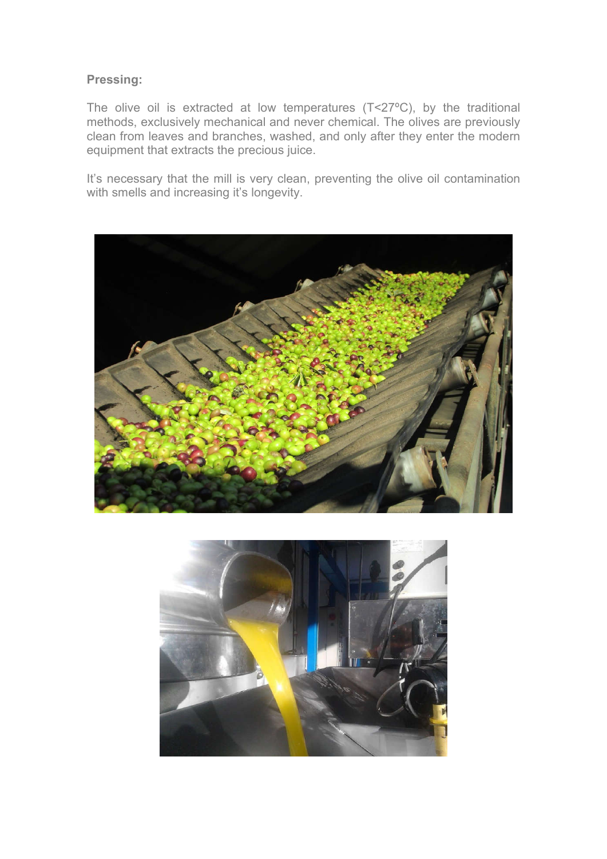## Pressing:

The olive oil is extracted at low temperatures (T<27ºC), by the traditional methods, exclusively mechanical and never chemical. The olives are previously clean from leaves and branches, washed, and only after they enter the modern equipment that extracts the precious juice.

It's necessary that the mill is very clean, preventing the olive oil contamination with smells and increasing it's longevity.